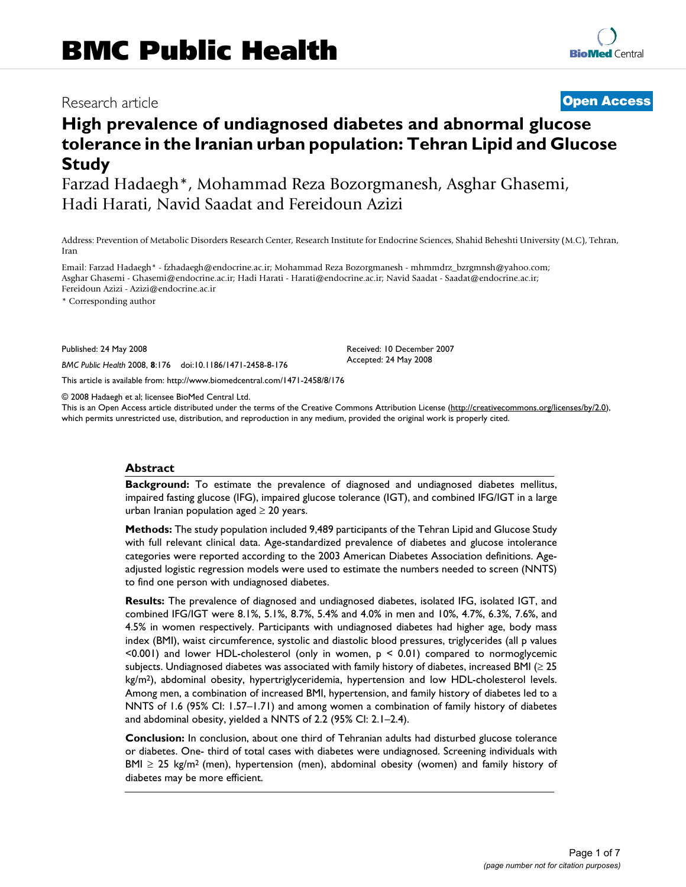## Research article **[Open Access](http://www.biomedcentral.com/info/about/charter/)**

# **High prevalence of undiagnosed diabetes and abnormal glucose tolerance in the Iranian urban population: Tehran Lipid and Glucose Study**

Farzad Hadaegh\*, Mohammad Reza Bozorgmanesh, Asghar Ghasemi, Hadi Harati, Navid Saadat and Fereidoun Azizi

Address: Prevention of Metabolic Disorders Research Center, Research Institute for Endocrine Sciences, Shahid Beheshti University (M.C), Tehran, Iran

Email: Farzad Hadaegh\* - fzhadaegh@endocrine.ac.ir; Mohammad Reza Bozorgmanesh - mhmmdrz\_bzrgmnsh@yahoo.com; Asghar Ghasemi - Ghasemi@endocrine.ac.ir; Hadi Harati - Harati@endocrine.ac.ir; Navid Saadat - Saadat@endocrine.ac.ir; Fereidoun Azizi - Azizi@endocrine.ac.ir

\* Corresponding author

Published: 24 May 2008

*BMC Public Health* 2008, **8**:176 doi:10.1186/1471-2458-8-176

[This article is available from: http://www.biomedcentral.com/1471-2458/8/176](http://www.biomedcentral.com/1471-2458/8/176)

© 2008 Hadaegh et al; licensee BioMed Central Ltd.

This is an Open Access article distributed under the terms of the Creative Commons Attribution License [\(http://creativecommons.org/licenses/by/2.0\)](http://creativecommons.org/licenses/by/2.0), which permits unrestricted use, distribution, and reproduction in any medium, provided the original work is properly cited.

Received: 10 December 2007 Accepted: 24 May 2008

#### **Abstract**

**Background:** To estimate the prevalence of diagnosed and undiagnosed diabetes mellitus, impaired fasting glucose (IFG), impaired glucose tolerance (IGT), and combined IFG/IGT in a large urban Iranian population aged  $\geq 20$  years.

**Methods:** The study population included 9,489 participants of the Tehran Lipid and Glucose Study with full relevant clinical data. Age-standardized prevalence of diabetes and glucose intolerance categories were reported according to the 2003 American Diabetes Association definitions. Ageadjusted logistic regression models were used to estimate the numbers needed to screen (NNTS) to find one person with undiagnosed diabetes.

**Results:** The prevalence of diagnosed and undiagnosed diabetes, isolated IFG, isolated IGT, and combined IFG/IGT were 8.1%, 5.1%, 8.7%, 5.4% and 4.0% in men and 10%, 4.7%, 6.3%, 7.6%, and 4.5% in women respectively. Participants with undiagnosed diabetes had higher age, body mass index (BMI), waist circumference, systolic and diastolic blood pressures, triglycerides (all p values <0.001) and lower HDL-cholesterol (only in women, p < 0.01) compared to normoglycemic subjects. Undiagnosed diabetes was associated with family history of diabetes, increased BMI (≥ 25 kg/m2), abdominal obesity, hypertriglyceridemia, hypertension and low HDL-cholesterol levels. Among men, a combination of increased BMI, hypertension, and family history of diabetes led to a NNTS of 1.6 (95% CI: 1.57–1.71) and among women a combination of family history of diabetes and abdominal obesity, yielded a NNTS of 2.2 (95% CI: 2.1–2.4).

**Conclusion:** In conclusion, about one third of Tehranian adults had disturbed glucose tolerance or diabetes. One- third of total cases with diabetes were undiagnosed. Screening individuals with BMI  $\geq$  25 kg/m<sup>2</sup> (men), hypertension (men), abdominal obesity (women) and family history of diabetes may be more efficient.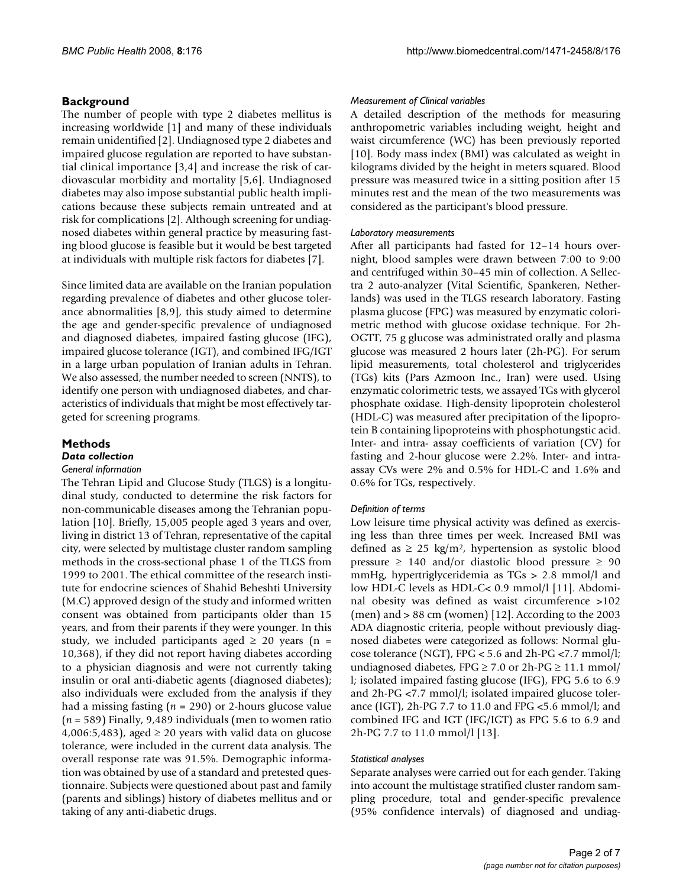#### **Background**

The number of people with type 2 diabetes mellitus is increasing worldwide [1] and many of these individuals remain unidentified [2]. Undiagnosed type 2 diabetes and impaired glucose regulation are reported to have substantial clinical importance [3,4] and increase the risk of cardiovascular morbidity and mortality [5,6]. Undiagnosed diabetes may also impose substantial public health implications because these subjects remain untreated and at risk for complications [2]. Although screening for undiagnosed diabetes within general practice by measuring fasting blood glucose is feasible but it would be best targeted at individuals with multiple risk factors for diabetes [7].

Since limited data are available on the Iranian population regarding prevalence of diabetes and other glucose tolerance abnormalities [8,9], this study aimed to determine the age and gender-specific prevalence of undiagnosed and diagnosed diabetes, impaired fasting glucose (IFG), impaired glucose tolerance (IGT), and combined IFG/IGT in a large urban population of Iranian adults in Tehran. We also assessed, the number needed to screen (NNTS), to identify one person with undiagnosed diabetes, and characteristics of individuals that might be most effectively targeted for screening programs.

#### **Methods** *Data collection*

### *General information*

The Tehran Lipid and Glucose Study (TLGS) is a longitudinal study, conducted to determine the risk factors for non-communicable diseases among the Tehranian population [10]. Briefly, 15,005 people aged 3 years and over, living in district 13 of Tehran, representative of the capital city, were selected by multistage cluster random sampling methods in the cross-sectional phase 1 of the TLGS from 1999 to 2001. The ethical committee of the research institute for endocrine sciences of Shahid Beheshti University (M.C) approved design of the study and informed written consent was obtained from participants older than 15 years, and from their parents if they were younger. In this study, we included participants aged  $\geq$  20 years (n = 10,368), if they did not report having diabetes according to a physician diagnosis and were not currently taking insulin or oral anti-diabetic agents (diagnosed diabetes); also individuals were excluded from the analysis if they had a missing fasting (*n* = 290) or 2-hours glucose value (*n* = 589) Finally, 9,489 individuals (men to women ratio 4,006:5,483), aged  $\geq$  20 years with valid data on glucose tolerance, were included in the current data analysis. The overall response rate was 91.5%. Demographic information was obtained by use of a standard and pretested questionnaire. Subjects were questioned about past and family (parents and siblings) history of diabetes mellitus and or taking of any anti-diabetic drugs.

#### *Measurement of Clinical variables*

A detailed description of the methods for measuring anthropometric variables including weight, height and waist circumference (WC) has been previously reported [10]. Body mass index (BMI) was calculated as weight in kilograms divided by the height in meters squared. Blood pressure was measured twice in a sitting position after 15 minutes rest and the mean of the two measurements was considered as the participant's blood pressure.

#### *Laboratory measurements*

After all participants had fasted for 12–14 hours overnight, blood samples were drawn between 7:00 to 9:00 and centrifuged within 30–45 min of collection. A Sellectra 2 auto-analyzer (Vital Scientific, Spankeren, Netherlands) was used in the TLGS research laboratory. Fasting plasma glucose (FPG) was measured by enzymatic colorimetric method with glucose oxidase technique. For 2h-OGTT, 75 g glucose was administrated orally and plasma glucose was measured 2 hours later (2h-PG). For serum lipid measurements, total cholesterol and triglycerides (TGs) kits (Pars Azmoon Inc., Iran) were used. Using enzymatic colorimetric tests, we assayed TGs with glycerol phosphate oxidase. High-density lipoprotein cholesterol (HDL-C) was measured after precipitation of the lipoprotein B containing lipoproteins with phosphotungstic acid. Inter- and intra- assay coefficients of variation (CV) for fasting and 2-hour glucose were 2.2%. Inter- and intraassay CVs were 2% and 0.5% for HDL-C and 1.6% and 0.6% for TGs, respectively.

#### *Definition of terms*

Low leisure time physical activity was defined as exercising less than three times per week. Increased BMI was defined as  $\geq$  25 kg/m<sup>2</sup>, hypertension as systolic blood pressure  $\geq$  140 and/or diastolic blood pressure  $\geq$  90 mmHg, hypertriglyceridemia as TGs > 2.8 mmol/l and low HDL-C levels as HDL-C< 0.9 mmol/l [[11\]](#page-6-0). Abdominal obesity was defined as waist circumference >102 (men) and > 88 cm (women) [12]. According to the 2003 ADA diagnostic criteria, people without previously diagnosed diabetes were categorized as follows: Normal glucose tolerance (NGT), FPG < 5.6 and 2h-PG <7.7 mmol/l; undiagnosed diabetes, FPG  $\geq$  7.0 or 2h-PG  $\geq$  11.1 mmol/ l; isolated impaired fasting glucose (IFG), FPG 5.6 to 6.9 and 2h-PG <7.7 mmol/l; isolated impaired glucose tolerance (IGT), 2h-PG 7.7 to 11.0 and FPG <5.6 mmol/l; and combined IFG and IGT (IFG/IGT) as FPG 5.6 to 6.9 and 2h-PG 7.7 to 11.0 mmol/l [13].

#### *Statistical analyses*

Separate analyses were carried out for each gender. Taking into account the multistage stratified cluster random sampling procedure, total and gender-specific prevalence (95% confidence intervals) of diagnosed and undiag-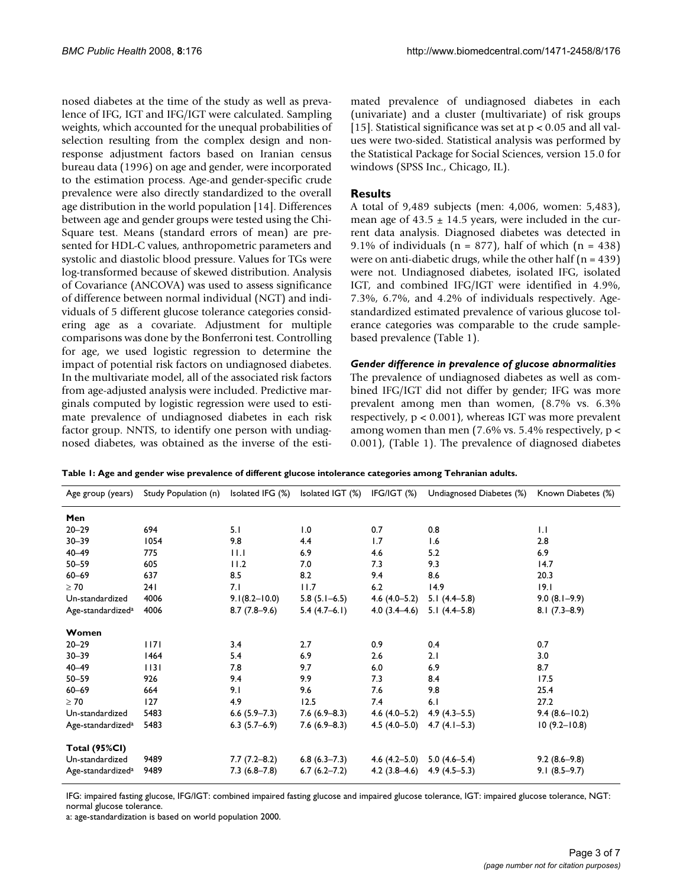nosed diabetes at the time of the study as well as prevalence of IFG, IGT and IFG/IGT were calculated. Sampling weights, which accounted for the unequal probabilities of selection resulting from the complex design and nonresponse adjustment factors based on Iranian census bureau data (1996) on age and gender, were incorporated to the estimation process. Age-and gender-specific crude prevalence were also directly standardized to the overall age distribution in the world population [14]. Differences between age and gender groups were tested using the Chi-Square test. Means (standard errors of mean) are presented for HDL-C values, anthropometric parameters and systolic and diastolic blood pressure. Values for TGs were log-transformed because of skewed distribution. Analysis of Covariance (ANCOVA) was used to assess significance of difference between normal individual (NGT) and individuals of 5 different glucose tolerance categories considering age as a covariate. Adjustment for multiple comparisons was done by the Bonferroni test. Controlling for age, we used logistic regression to determine the impact of potential risk factors on undiagnosed diabetes. In the multivariate model, all of the associated risk factors from age-adjusted analysis were included. Predictive marginals computed by logistic regression were used to estimate prevalence of undiagnosed diabetes in each risk factor group. NNTS, to identify one person with undiagnosed diabetes, was obtained as the inverse of the estimated prevalence of undiagnosed diabetes in each (univariate) and a cluster (multivariate) of risk groups [15]. Statistical significance was set at  $p < 0.05$  and all values were two-sided. Statistical analysis was performed by the Statistical Package for Social Sciences, version 15.0 for windows (SPSS Inc., Chicago, IL).

#### **Results**

A total of 9,489 subjects (men: 4,006, women: 5,483), mean age of  $43.5 \pm 14.5$  years, were included in the current data analysis. Diagnosed diabetes was detected in 9.1% of individuals ( $n = 877$ ), half of which ( $n = 438$ ) were on anti-diabetic drugs, while the other half  $(n = 439)$ were not. Undiagnosed diabetes, isolated IFG, isolated IGT, and combined IFG/IGT were identified in 4.9%, 7.3%, 6.7%, and 4.2% of individuals respectively. Agestandardized estimated prevalence of various glucose tolerance categories was comparable to the crude samplebased prevalence (Table 1).

#### *Gender difference in prevalence of glucose abnormalities*

The prevalence of undiagnosed diabetes as well as combined IFG/IGT did not differ by gender; IFG was more prevalent among men than women, (8.7% vs. 6.3% respectively, p < 0.001), whereas IGT was more prevalent among women than men (7.6% vs. 5.4% respectively,  $p <$ 0.001), (Table 1). The prevalence of diagnosed diabetes

**Table 1: Age and gender wise prevalence of different glucose intolerance categories among Tehranian adults.**

| Age group (years)             | Study Population (n) | Isolated IFG (%)  | Isolated IGT (%) | IFG/IGT (%)      | Undiagnosed Diabetes (%) | Known Diabetes (%) |
|-------------------------------|----------------------|-------------------|------------------|------------------|--------------------------|--------------------|
| Men                           |                      |                   |                  |                  |                          |                    |
| $20 - 29$                     | 694                  | 5.1               | 1.0              | 0.7              | 0.8                      | $  \cdot  $        |
| $30 - 39$                     | 1054                 | 9.8               | 4.4              | 1.7              | 1.6                      | 2.8                |
| $40 - 49$                     | 775                  | 11.1              | 6.9              | 4.6              | 5.2                      | 6.9                |
| $50 - 59$                     | 605                  | 11.2              | 7.0              | 7.3              | 9.3                      | 14.7               |
| $60 - 69$                     | 637                  | 8.5               | 8.2              | 9.4              | 8.6                      | 20.3               |
| $\geq 70$                     | 241                  | 7.1               | 11.7             | 6.2              | 14.9                     | 9.1                |
| Un-standardized               | 4006                 | $9.1(8.2 - 10.0)$ | $5.8(5.1-6.5)$   | $4.6(4.0-5.2)$   | 5.1 $(4.4-5.8)$          | $9.0(8.1-9.9)$     |
| Age-standardized <sup>a</sup> | 4006                 | $8.7(7.8-9.6)$    | $5.4(4.7-6.1)$   | $4.0(3.4-4.6)$   | $5.1(4.4-5.8)$           | $8.1(7.3-8.9)$     |
| Women                         |                      |                   |                  |                  |                          |                    |
| $20 - 29$                     | 1171                 | 3.4               | 2.7              | 0.9              | 0.4                      | 0.7                |
| $30 - 39$                     | 1464                 | 5.4               | 6.9              | 2.6              | 2.1                      | 3.0                |
| $40 - 49$                     | 1131                 | 7.8               | 9.7              | 6.0              | 6.9                      | 8.7                |
| $50 - 59$                     | 926                  | 9.4               | 9.9              | 7.3              | 8.4                      | 17.5               |
| $60 - 69$                     | 664                  | 9.1               | 9.6              | 7.6              | 9.8                      | 25.4               |
| $\geq 70$                     | 127                  | 4.9               | 12.5             | 7.4              | 6.1                      | 27.2               |
| Un-standardized               | 5483                 | $6.6$ (5.9-7.3)   | $7.6(6.9-8.3)$   | $4.6(4.0-5.2)$   | $4.9(4.3-5.5)$           | $9.4(8.6 - 10.2)$  |
| Age-standardized <sup>a</sup> | 5483                 | $6.3(5.7-6.9)$    | $7.6(6.9-8.3)$   | $4.5(4.0-5.0)$   | $4.7(4.1-5.3)$           | $10(9.2 - 10.8)$   |
| <b>Total (95%CI)</b>          |                      |                   |                  |                  |                          |                    |
| Un-standardized               | 9489                 | $7.7(7.2 - 8.2)$  | $6.8(6.3-7.3)$   | $4.6(4.2 - 5.0)$ | $5.0(4.6-5.4)$           | $9.2(8.6-9.8)$     |
| Age-standardized <sup>a</sup> | 9489                 | $7.3(6.8-7.8)$    | $6.7(6.2 - 7.2)$ | $4.2(3.8-4.6)$   | $4.9(4.5-5.3)$           | $9.1(8.5-9.7)$     |

IFG: impaired fasting glucose, IFG/IGT: combined impaired fasting glucose and impaired glucose tolerance, IGT: impaired glucose tolerance, NGT: normal glucose tolerance.

a: age-standardization is based on world population 2000.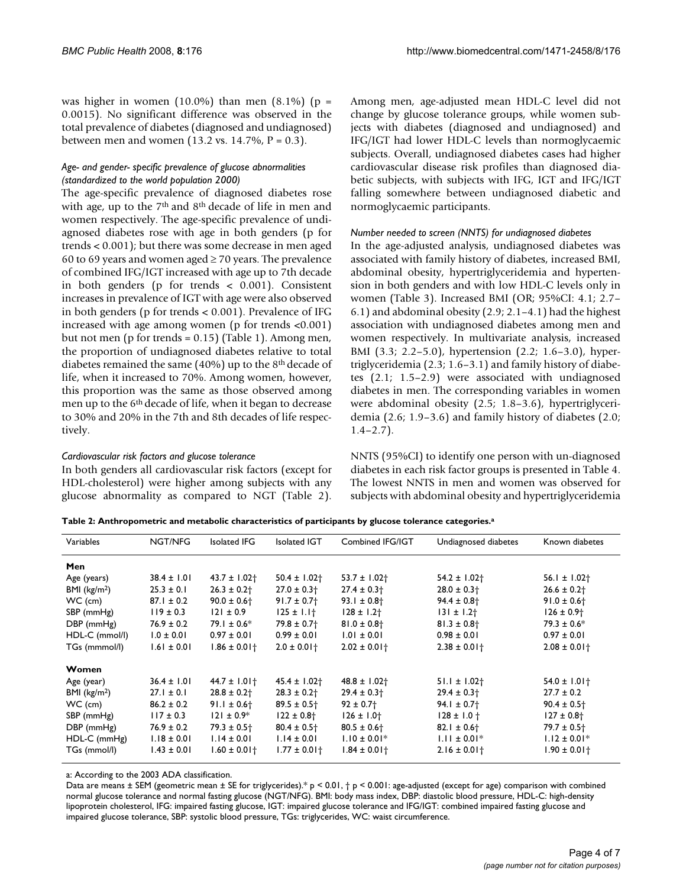was higher in women  $(10.0\%)$  than men  $(8.1\%)$  (p = 0.0015). No significant difference was observed in the total prevalence of diabetes (diagnosed and undiagnosed) between men and women (13.2 vs. 14.7%,  $P = 0.3$ ).

#### *Age- and gender- specific prevalence of glucose abnormalities (standardized to the world population 2000)*

The age-specific prevalence of diagnosed diabetes rose with age, up to the 7<sup>th</sup> and 8<sup>th</sup> decade of life in men and women respectively. The age-specific prevalence of undiagnosed diabetes rose with age in both genders (p for trends < 0.001); but there was some decrease in men aged 60 to 69 years and women aged  $\geq$  70 years. The prevalence of combined IFG/IGT increased with age up to 7th decade in both genders (p for trends < 0.001). Consistent increases in prevalence of IGT with age were also observed in both genders (p for trends < 0.001). Prevalence of IFG increased with age among women (p for trends <0.001) but not men (p for trends = 0.15) (Table 1). Among men, the proportion of undiagnosed diabetes relative to total diabetes remained the same (40%) up to the 8th decade of life, when it increased to 70%. Among women, however, this proportion was the same as those observed among men up to the 6<sup>th</sup> decade of life, when it began to decrease to 30% and 20% in the 7th and 8th decades of life respectively.

#### *Cardiovascular risk factors and glucose tolerance*

In both genders all cardiovascular risk factors (except for HDL-cholesterol) were higher among subjects with any glucose abnormality as compared to NGT (Table 2). Among men, age-adjusted mean HDL-C level did not change by glucose tolerance groups, while women subjects with diabetes (diagnosed and undiagnosed) and IFG/IGT had lower HDL-C levels than normoglycaemic subjects. Overall, undiagnosed diabetes cases had higher cardiovascular disease risk profiles than diagnosed diabetic subjects, with subjects with IFG, IGT and IFG/IGT falling somewhere between undiagnosed diabetic and normoglycaemic participants.

#### *Number needed to screen (NNTS) for undiagnosed diabetes*

In the age-adjusted analysis, undiagnosed diabetes was associated with family history of diabetes, increased BMI, abdominal obesity, hypertriglyceridemia and hypertension in both genders and with low HDL-C levels only in women (Table 3). Increased BMI (OR; 95%CI: 4.1; 2.7– 6.1) and abdominal obesity (2.9; 2.1–4.1) had the highest association with undiagnosed diabetes among men and women respectively. In multivariate analysis, increased BMI (3.3; 2.2–5.0), hypertension (2.2; 1.6–3.0), hypertriglyceridemia (2.3; 1.6–3.1) and family history of diabetes (2.1; 1.5–2.9) were associated with undiagnosed diabetes in men. The corresponding variables in women were abdominal obesity (2.5; 1.8–3.6), hypertriglyceridemia (2.6; 1.9–3.6) and family history of diabetes (2.0;  $1.4 - 2.7$ ).

NNTS (95%CI) to identify one person with un-diagnosed diabetes in each risk factor groups is presented in Table 4. The lowest NNTS in men and women was observed for subjects with abdominal obesity and hypertriglyceridemia

|  | Table 2: Anthropometric and metabolic characteristics of participants by glucose tolerance categories. <sup>a</sup> |
|--|---------------------------------------------------------------------------------------------------------------------|
|  |                                                                                                                     |

| Variables                | NGT/NFG         | Isolated IFG                | <b>Isolated IGT</b>         | Combined IFG/IGT             | Undiagnosed diabetes        | Known diabetes              |
|--------------------------|-----------------|-----------------------------|-----------------------------|------------------------------|-----------------------------|-----------------------------|
| Men                      |                 |                             |                             |                              |                             |                             |
| Age (years)              | $38.4 \pm 1.01$ | $43.7 \pm 1.02$             | $50.4 \pm 1.02$             | $53.7 \pm 1.02$              | $54.2 \pm 1.02$             | 56.1 ± $1.02$ <sup>+</sup>  |
| BMI (kg/m <sup>2</sup> ) | $25.3 \pm 0.1$  | $26.3 \pm 0.2$              | $27.0 \pm 0.3$ <sup>+</sup> | $27.4 \pm 0.3$ <sup>+</sup>  | $28.0 \pm 0.3$ <sup>+</sup> | $26.6 \pm 0.2$              |
| $WC$ (cm)                | $87.1 \pm 0.2$  | $90.0 \pm 0.6$              | $91.7 \pm 0.7$              | $93.1 \pm 0.8$ <sup>+</sup>  | $94.4 \pm 0.8$              | $91.0 \pm 0.6$              |
| SBP (mmHg)               | $119 \pm 0.3$   | $121 \pm 0.9$               | $125 \pm 1.1$               | $128 \pm 1.2$                | $131 \pm 1.2$               | $126 \pm 0.9$ <sup>+</sup>  |
| $DBP$ (mmHg)             | $76.9 \pm 0.2$  | 79.1 $\pm$ 0.6*             | $79.8 \pm 0.7$              | $81.0 \pm 0.8$ +             | $81.3 \pm 0.8$ <sup>+</sup> | $79.3 \pm 0.6^*$            |
| HDL-C (mmol/l)           | $1.0 \pm 0.01$  | $0.97 \pm 0.01$             | $0.99 \pm 0.01$             | $1.01 \pm 0.01$              | $0.98 \pm 0.01$             | $0.97 \pm 0.01$             |
| TGs (mmmol/l)            | $1.61 \pm 0.01$ | $1.86 \pm 0.01$ †           | $2.0 \pm 0.01$ †            | $2.02 \pm 0.01$ †            | $2.38 \pm 0.01$ †           | $2.08 \pm 0.01$ †           |
| <b>Women</b>             |                 |                             |                             |                              |                             |                             |
| Age (year)               | $36.4 \pm 1.01$ | $44.7 \pm 1.01$             | $45.4 \pm 1.02$             | $48.8 \pm 1.02$ <sup>+</sup> | $51.1 \pm 1.02$             | $54.0 \pm 1.01$ †           |
| BMI $(kg/m2)$            | $27.1 \pm 0.1$  | $28.8 \pm 0.2$              | $28.3 \pm 0.2$              | $29.4 \pm 0.3$ <sup>+</sup>  | $29.4 \pm 0.3$ <sup>+</sup> | $27.7 \pm 0.2$              |
| WC (cm)                  | $86.2 \pm 0.2$  | $91.1 \pm 0.6$              | $89.5 \pm 0.5$ <sup>+</sup> | $92 \pm 0.7$                 | $94.1 \pm 0.7$              | $90.4 \pm 0.5$              |
| SBP (mmHg)               | $117 \pm 0.3$   | $121 \pm 0.9*$              | $122 \pm 0.8$ <sup>+</sup>  | $126 \pm 1.0$ <sup>+</sup>   | $128 \pm 1.0 +$             | $127 \pm 0.8$ <sup>+</sup>  |
| $DBP$ (mmHg)             | $76.9 \pm 0.2$  | $79.3 \pm 0.5$ <sup>+</sup> | $80.4 \pm 0.5$ <sup>+</sup> | $80.5 \pm 0.6$ <sup>+</sup>  | $82.1 \pm 0.6$              | $79.7 \pm 0.5$ <sup>+</sup> |
| $HDL-C$ (mmHg)           | $1.18 \pm 0.01$ | $1.14 \pm 0.01$             | $1.14 \pm 0.01$             | $1.10 \pm 0.01*$             | $1.11 \pm 0.01*$            | $1.12 \pm 0.01*$            |
| TGs (mmol/l)             | $1.43 \pm 0.01$ | $1.60 \pm 0.01$ †           | $1.77 \pm 0.01$ †           | $1.84 \pm 0.01$ †            | $2.16 \pm 0.01$ †           | $1.90 \pm 0.01\dagger$      |

a: According to the 2003 ADA classification.

Data are means  $\pm$  SEM (geometric mean  $\pm$  SE for triglycerides).\* p < 0.01,  $\uparrow$  p < 0.001: age-adjusted (except for age) comparison with combined normal glucose tolerance and normal fasting glucose (NGT/NFG). BMI: body mass index, DBP: diastolic blood pressure, HDL-C: high-density lipoprotein cholesterol, IFG: impaired fasting glucose, IGT: impaired glucose tolerance and IFG/IGT: combined impaired fasting glucose and impaired glucose tolerance, SBP: systolic blood pressure, TGs: triglycerides, WC: waist circumference.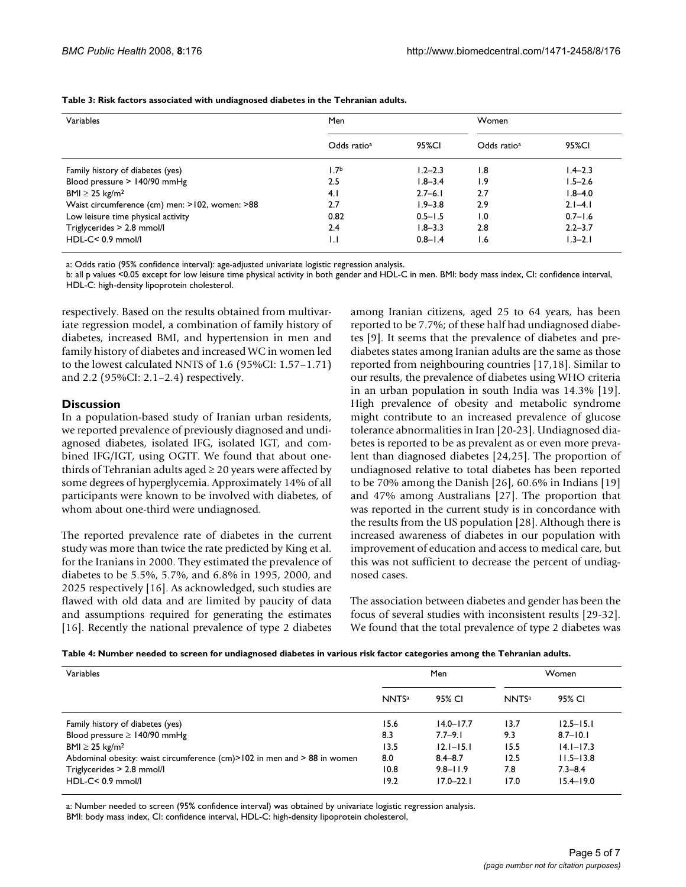| Variables                                      | Men                     |             | Women                   |             |  |
|------------------------------------------------|-------------------------|-------------|-------------------------|-------------|--|
|                                                | Odds ratio <sup>a</sup> | 95%CI       | Odds ratio <sup>a</sup> | 95%CI       |  |
| Family history of diabetes (yes)               | I.7b                    | $1.2 - 2.3$ | 1.8                     | $1.4 - 2.3$ |  |
| Blood pressure > 140/90 mmHg                   | 2.5                     | $1.8 - 3.4$ | 1.9                     | $1.5 - 2.6$ |  |
| BMI $\geq$ 25 kg/m <sup>2</sup>                | 4.1                     | $2.7 - 6.1$ | 2.7                     | $1.8 - 4.0$ |  |
| Waist circumference (cm) men: >102, women: >88 | 2.7                     | $1.9 - 3.8$ | 2.9                     | $2.1 - 4.1$ |  |
| Low leisure time physical activity             | 0.82                    | $0.5 - 1.5$ | $\overline{1.0}$        | $0.7 - 1.6$ |  |
| Triglycerides > 2.8 mmol/l                     | 2.4                     | $1.8 - 3.3$ | 2.8                     | $2.2 - 3.7$ |  |
| $HDL-C < 0.9$ mmol/l                           | $\mathsf{L}$            | $0.8 - 1.4$ | 1.6                     | $1.3 - 2.1$ |  |

**Table 3: Risk factors associated with undiagnosed diabetes in the Tehranian adults.**

a: Odds ratio (95% confidence interval): age-adjusted univariate logistic regression analysis.

b: all p values <0.05 except for low leisure time physical activity in both gender and HDL-C in men. BMI: body mass index, CI: confidence interval, HDL-C: high-density lipoprotein cholesterol.

respectively. Based on the results obtained from multivariate regression model, a combination of family history of diabetes, increased BMI, and hypertension in men and family history of diabetes and increased WC in women led to the lowest calculated NNTS of 1.6 (95%CI: 1.57–1.71) and 2.2 (95%CI: 2.1–2.4) respectively.

#### **Discussion**

In a population-based study of Iranian urban residents, we reported prevalence of previously diagnosed and undiagnosed diabetes, isolated IFG, isolated IGT, and combined IFG/IGT, using OGTT. We found that about onethirds of Tehranian adults aged  $\geq$  20 years were affected by some degrees of hyperglycemia. Approximately 14% of all participants were known to be involved with diabetes, of whom about one-third were undiagnosed.

The reported prevalence rate of diabetes in the current study was more than twice the rate predicted by King et al. for the Iranians in 2000. They estimated the prevalence of diabetes to be 5.5%, 5.7%, and 6.8% in 1995, 2000, and 2025 respectively [16]. As acknowledged, such studies are flawed with old data and are limited by paucity of data and assumptions required for generating the estimates [16]. Recently the national prevalence of type 2 diabetes among Iranian citizens, aged 25 to 64 years, has been reported to be 7.7%; of these half had undiagnosed diabetes [9]. It seems that the prevalence of diabetes and prediabetes states among Iranian adults are the same as those reported from neighbouring countries [17,18]. Similar to our results, the prevalence of diabetes using WHO criteria in an urban population in south India was 14.3% [19]. High prevalence of obesity and metabolic syndrome might contribute to an increased prevalence of glucose tolerance abnormalities in Iran [20-23]. Undiagnosed diabetes is reported to be as prevalent as or even more prevalent than diagnosed diabetes [24,25]. The proportion of undiagnosed relative to total diabetes has been reported to be 70% among the Danish [26], 60.6% in Indians [19] and 47% among Australians [27]. The proportion that was reported in the current study is in concordance with the results from the US population [28]. Although there is increased awareness of diabetes in our population with improvement of education and access to medical care, but this was not sufficient to decrease the percent of undiagnosed cases.

The association between diabetes and gender has been the focus of several studies with inconsistent results [29-32]. We found that the total prevalence of type 2 diabetes was

|  | Table 4: Number needed to screen for undiagnosed diabetes in various risk factor categories among the Tehranian adults. |  |
|--|-------------------------------------------------------------------------------------------------------------------------|--|
|--|-------------------------------------------------------------------------------------------------------------------------|--|

| Variables                                                                             | Men          |               | Women        |               |
|---------------------------------------------------------------------------------------|--------------|---------------|--------------|---------------|
|                                                                                       | <b>NNTSa</b> | 95% CI        | <b>NNTSa</b> | 95% CI        |
| Family history of diabetes (yes)                                                      | 15.6         | $14.0 - 17.7$ | 13.7         | $12.5 - 15.1$ |
| Blood pressure $\geq$ 140/90 mmHg                                                     | 8.3          | $7.7 - 9.1$   | 9.3          | $8.7 - 10.1$  |
| BMI $\geq$ 25 kg/m <sup>2</sup>                                                       | 13.5         | $12.1 - 15.1$ | 15.5         | $14.1 - 17.3$ |
| Abdominal obesity: waist circumference $\text{(cm)} > 102$ in men and $> 88$ in women | 8.0          | $8.4 - 8.7$   | 12.5         | $11.5 - 13.8$ |
| Triglycerides > 2.8 mmol/l                                                            | 10.8         | $9.8 - 11.9$  | 7.8          | $7.3 - 8.4$   |
| $HDL-C < 0.9$ mmol/l                                                                  | 19.2         | $17.0 - 22.1$ | 17.0         | $15.4 - 19.0$ |

a: Number needed to screen (95% confidence interval) was obtained by univariate logistic regression analysis.

BMI: body mass index, CI: confidence interval, HDL-C: high-density lipoprotein cholesterol,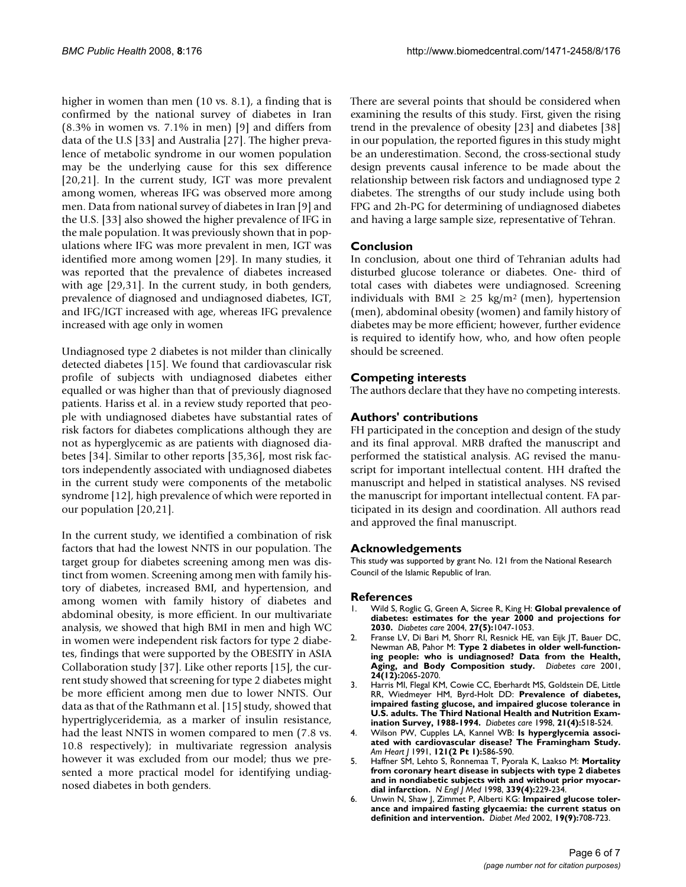higher in women than men (10 vs. 8.1), a finding that is confirmed by the national survey of diabetes in Iran (8.3% in women vs. 7.1% in men) [9] and differs from data of the U.S [33] and Australia [27]. The higher prevalence of metabolic syndrome in our women population may be the underlying cause for this sex difference [20,21]. In the current study, IGT was more prevalent among women, whereas IFG was observed more among men. Data from national survey of diabetes in Iran [9] and the U.S. [33] also showed the higher prevalence of IFG in the male population. It was previously shown that in populations where IFG was more prevalent in men, IGT was identified more among women [29]. In many studies, it was reported that the prevalence of diabetes increased with age [29,31]. In the current study, in both genders, prevalence of diagnosed and undiagnosed diabetes, IGT, and IFG/IGT increased with age, whereas IFG prevalence increased with age only in women

Undiagnosed type 2 diabetes is not milder than clinically detected diabetes [15]. We found that cardiovascular risk profile of subjects with undiagnosed diabetes either equalled or was higher than that of previously diagnosed patients. Hariss et al. in a review study reported that people with undiagnosed diabetes have substantial rates of risk factors for diabetes complications although they are not as hyperglycemic as are patients with diagnosed diabetes [34]. Similar to other reports [35,36], most risk factors independently associated with undiagnosed diabetes in the current study were components of the metabolic syndrome [12], high prevalence of which were reported in our population [20,21].

In the current study, we identified a combination of risk factors that had the lowest NNTS in our population. The target group for diabetes screening among men was distinct from women. Screening among men with family history of diabetes, increased BMI, and hypertension, and among women with family history of diabetes and abdominal obesity, is more efficient. In our multivariate analysis, we showed that high BMI in men and high WC in women were independent risk factors for type 2 diabetes, findings that were supported by the OBESITY in ASIA Collaboration study [37]. Like other reports [15], the current study showed that screening for type 2 diabetes might be more efficient among men due to lower NNTS. Our data as that of the Rathmann et al. [15] study, showed that hypertriglyceridemia, as a marker of insulin resistance, had the least NNTS in women compared to men (7.8 vs. 10.8 respectively); in multivariate regression analysis however it was excluded from our model; thus we presented a more practical model for identifying undiagnosed diabetes in both genders.

There are several points that should be considered when examining the results of this study. First, given the rising trend in the prevalence of obesity [23] and diabetes [38] in our population, the reported figures in this study might be an underestimation. Second, the cross-sectional study design prevents causal inference to be made about the relationship between risk factors and undiagnosed type 2 diabetes. The strengths of our study include using both FPG and 2h-PG for determining of undiagnosed diabetes and having a large sample size, representative of Tehran.

#### **Conclusion**

In conclusion, about one third of Tehranian adults had disturbed glucose tolerance or diabetes. One- third of total cases with diabetes were undiagnosed. Screening individuals with BMI  $\geq$  25 kg/m<sup>2</sup> (men), hypertension (men), abdominal obesity (women) and family history of diabetes may be more efficient; however, further evidence is required to identify how, who, and how often people should be screened.

#### **Competing interests**

The authors declare that they have no competing interests.

#### **Authors' contributions**

FH participated in the conception and design of the study and its final approval. MRB drafted the manuscript and performed the statistical analysis. AG revised the manuscript for important intellectual content. HH drafted the manuscript and helped in statistical analyses. NS revised the manuscript for important intellectual content. FA participated in its design and coordination. All authors read and approved the final manuscript.

#### **Acknowledgements**

This study was supported by grant No. 121 from the National Research Council of the Islamic Republic of Iran.

#### **References**

- 1. Wild S, Roglic G, Green A, Sicree R, King H: **[Global prevalence of](http://www.ncbi.nlm.nih.gov/entrez/query.fcgi?cmd=Retrieve&db=PubMed&dopt=Abstract&list_uids=15111519) [diabetes: estimates for the year 2000 and projections for](http://www.ncbi.nlm.nih.gov/entrez/query.fcgi?cmd=Retrieve&db=PubMed&dopt=Abstract&list_uids=15111519) [2030.](http://www.ncbi.nlm.nih.gov/entrez/query.fcgi?cmd=Retrieve&db=PubMed&dopt=Abstract&list_uids=15111519)** *Diabetes care* 2004, **27(5):**1047-1053.
- 2. Franse LV, Di Bari M, Shorr RI, Resnick HE, van Eijk JT, Bauer DC, Newman AB, Pahor M: **[Type 2 diabetes in older well-function](http://www.ncbi.nlm.nih.gov/entrez/query.fcgi?cmd=Retrieve&db=PubMed&dopt=Abstract&list_uids=11723084)[ing people: who is undiagnosed? Data from the Health,](http://www.ncbi.nlm.nih.gov/entrez/query.fcgi?cmd=Retrieve&db=PubMed&dopt=Abstract&list_uids=11723084) [Aging, and Body Composition study.](http://www.ncbi.nlm.nih.gov/entrez/query.fcgi?cmd=Retrieve&db=PubMed&dopt=Abstract&list_uids=11723084)** *Diabetes care* 2001, **24(12):**2065-2070.
- 3. Harris MI, Flegal KM, Cowie CC, Eberhardt MS, Goldstein DE, Little RR, Wiedmeyer HM, Byrd-Holt DD: **[Prevalence of diabetes,](http://www.ncbi.nlm.nih.gov/entrez/query.fcgi?cmd=Retrieve&db=PubMed&dopt=Abstract&list_uids=9571335) [impaired fasting glucose, and impaired glucose tolerance in](http://www.ncbi.nlm.nih.gov/entrez/query.fcgi?cmd=Retrieve&db=PubMed&dopt=Abstract&list_uids=9571335) U.S. adults. The Third National Health and Nutrition Exam[ination Survey, 1988-1994.](http://www.ncbi.nlm.nih.gov/entrez/query.fcgi?cmd=Retrieve&db=PubMed&dopt=Abstract&list_uids=9571335)** *Diabetes care* 1998, **21(4):**518-524.
- 4. Wilson PW, Cupples LA, Kannel WB: **[Is hyperglycemia associ](http://www.ncbi.nlm.nih.gov/entrez/query.fcgi?cmd=Retrieve&db=PubMed&dopt=Abstract&list_uids=1990765)[ated with cardiovascular disease? The Framingham Study.](http://www.ncbi.nlm.nih.gov/entrez/query.fcgi?cmd=Retrieve&db=PubMed&dopt=Abstract&list_uids=1990765)** *Am Heart J* 1991, **121(2 Pt 1):**586-590.
- 5. Haffner SM, Lehto S, Ronnemaa T, Pyorala K, Laakso M: **[Mortality](http://www.ncbi.nlm.nih.gov/entrez/query.fcgi?cmd=Retrieve&db=PubMed&dopt=Abstract&list_uids=9673301) from coronary heart disease in subjects with type 2 diabetes [and in nondiabetic subjects with and without prior myocar](http://www.ncbi.nlm.nih.gov/entrez/query.fcgi?cmd=Retrieve&db=PubMed&dopt=Abstract&list_uids=9673301)[dial infarction.](http://www.ncbi.nlm.nih.gov/entrez/query.fcgi?cmd=Retrieve&db=PubMed&dopt=Abstract&list_uids=9673301)** *N Engl J Med* 1998, **339(4):**229-234.
- 6. Unwin N, Shaw J, Zimmet P, Alberti KG: **[Impaired glucose toler](http://www.ncbi.nlm.nih.gov/entrez/query.fcgi?cmd=Retrieve&db=PubMed&dopt=Abstract&list_uids=12207806)[ance and impaired fasting glycaemia: the current status on](http://www.ncbi.nlm.nih.gov/entrez/query.fcgi?cmd=Retrieve&db=PubMed&dopt=Abstract&list_uids=12207806) [definition and intervention.](http://www.ncbi.nlm.nih.gov/entrez/query.fcgi?cmd=Retrieve&db=PubMed&dopt=Abstract&list_uids=12207806)** *Diabet Med* 2002, **19(9):**708-723.